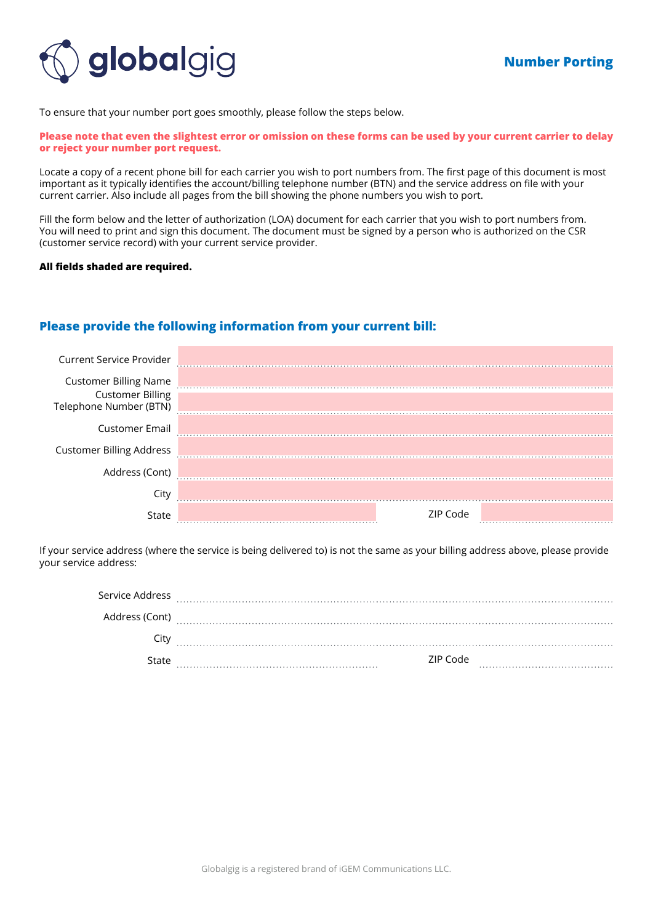

To ensure that your number port goes smoothly, please follow the steps below.

#### **Please note that even the slightest error or omission on these forms can be used by your current carrier to delay or reject your number port request.**

Locate a copy of a recent phone bill for each carrier you wish to port numbers from. The first page of this document is most important as it typically identifies the account/billing telephone number (BTN) and the service address on file with your current carrier. Also include all pages from the bill showing the phone numbers you wish to port.

Fill the form below and the letter of authorization (LOA) document for each carrier that you wish to port numbers from. You will need to print and sign this document. The document must be signed by a person who is authorized on the CSR (customer service record) with your current service provider.

### **All fields shaded are required.**

## **Please provide the following information from your current bill:**

| <b>Current Service Provider</b>                                                   |          |  |
|-----------------------------------------------------------------------------------|----------|--|
| <b>Customer Billing Name</b><br><b>Customer Billing</b><br>Telephone Number (BTN) |          |  |
| <b>Customer Email</b>                                                             |          |  |
| <b>Customer Billing Address</b>                                                   |          |  |
| Address (Cont)                                                                    |          |  |
| City                                                                              |          |  |
| State                                                                             | 7IP Code |  |

If your service address (where the service is being delivered to) is not the same as your billing address above, please provide your service address:

| Service Address |          |  |
|-----------------|----------|--|
| Address (Cont)  |          |  |
| City            |          |  |
| State           | ZIP Code |  |